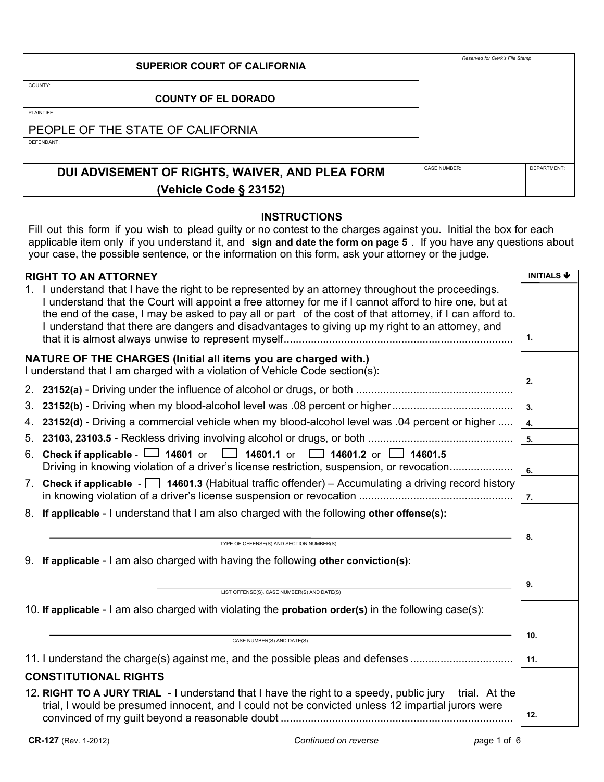| <b>SUPERIOR COURT OF CALIFORNIA</b>             | Reserved for Clerk's File Stamp |             |
|-------------------------------------------------|---------------------------------|-------------|
| COUNTY:                                         |                                 |             |
| <b>COUNTY OF EL DORADO</b>                      |                                 |             |
| PLAINTIFF:                                      |                                 |             |
| PEOPLE OF THE STATE OF CALIFORNIA               |                                 |             |
| DEFENDANT:                                      |                                 |             |
|                                                 |                                 |             |
| DUI ADVISEMENT OF RIGHTS, WAIVER, AND PLEA FORM | <b>CASE NUMBER:</b>             | DEPARTMENT: |
| (Vehicle Code § 23152)                          |                                 |             |

### **INSTRUCTIONS**

Fill out this form if you wish to plead guilty or no contest to the charges against you. Initial the box for each applicable item only if you understand it, and **sign and date the form on page 5** . If you have any questions about your case, the possible sentence, or the information on this form, ask your attorney or the judge.

|    | <b>RIGHT TO AN ATTORNEY</b>                                                                                                                                                                                                                                                                                                                                                                                                 | <b>INITIALS ↓</b> |
|----|-----------------------------------------------------------------------------------------------------------------------------------------------------------------------------------------------------------------------------------------------------------------------------------------------------------------------------------------------------------------------------------------------------------------------------|-------------------|
|    | 1. I understand that I have the right to be represented by an attorney throughout the proceedings.<br>I understand that the Court will appoint a free attorney for me if I cannot afford to hire one, but at<br>the end of the case, I may be asked to pay all or part of the cost of that attorney, if I can afford to.<br>I understand that there are dangers and disadvantages to giving up my right to an attorney, and |                   |
|    |                                                                                                                                                                                                                                                                                                                                                                                                                             | 1.                |
|    | NATURE OF THE CHARGES (Initial all items you are charged with.)<br>I understand that I am charged with a violation of Vehicle Code section(s):                                                                                                                                                                                                                                                                              | 2.                |
|    |                                                                                                                                                                                                                                                                                                                                                                                                                             |                   |
| 3. |                                                                                                                                                                                                                                                                                                                                                                                                                             | 3.                |
| 4. | 23152(d) - Driving a commercial vehicle when my blood-alcohol level was .04 percent or higher                                                                                                                                                                                                                                                                                                                               | 4.                |
|    |                                                                                                                                                                                                                                                                                                                                                                                                                             | 5.                |
|    | 6. Check if applicable - $\Box$ 14601 or $\Box$ 14601.1 or $\Box$ 14601.2 or $\Box$ 14601.5<br>Driving in knowing violation of a driver's license restriction, suspension, or revocation                                                                                                                                                                                                                                    | 6.                |
|    | 7. Check if applicable $\sim$ 14601.3 (Habitual traffic offender) – Accumulating a driving record history                                                                                                                                                                                                                                                                                                                   | 7.                |
|    | 8. If applicable - I understand that I am also charged with the following other offense(s):                                                                                                                                                                                                                                                                                                                                 |                   |
|    | TYPE OF OFFENSE(S) AND SECTION NUMBER(S)                                                                                                                                                                                                                                                                                                                                                                                    | 8.                |
|    |                                                                                                                                                                                                                                                                                                                                                                                                                             |                   |
|    | 9. If applicable - I am also charged with having the following other conviction(s):                                                                                                                                                                                                                                                                                                                                         |                   |
|    | LIST OFFENSE(S), CASE NUMBER(S) AND DATE(S)                                                                                                                                                                                                                                                                                                                                                                                 | 9.                |
|    | 10. If applicable - I am also charged with violating the probation order(s) in the following case(s):                                                                                                                                                                                                                                                                                                                       |                   |
|    |                                                                                                                                                                                                                                                                                                                                                                                                                             |                   |
|    | CASE NUMBER(S) AND DATE(S)                                                                                                                                                                                                                                                                                                                                                                                                  | 10.               |
|    | 11. I understand the charge(s) against me, and the possible pleas and defenses                                                                                                                                                                                                                                                                                                                                              | 11.               |
|    | <b>CONSTITUTIONAL RIGHTS</b>                                                                                                                                                                                                                                                                                                                                                                                                |                   |
|    | 12. RIGHT TO A JURY TRIAL - I understand that I have the right to a speedy, public jury trial. At the                                                                                                                                                                                                                                                                                                                       |                   |
|    | trial, I would be presumed innocent, and I could not be convicted unless 12 impartial jurors were                                                                                                                                                                                                                                                                                                                           | 12.               |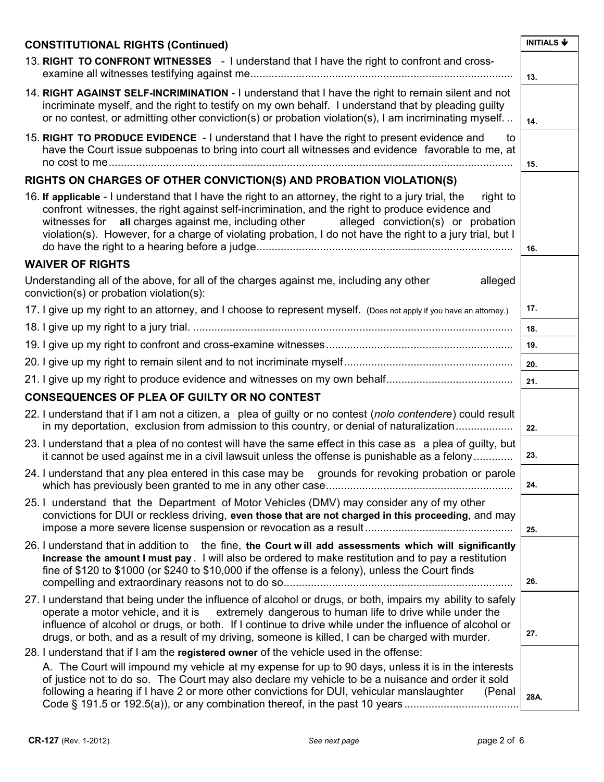| <b>CONSTITUTIONAL RIGHTS (Continued)</b>                                                                                                                                                                                                                                                                                                                                                                                                                                                 | <b>INITIALS ↓</b> |
|------------------------------------------------------------------------------------------------------------------------------------------------------------------------------------------------------------------------------------------------------------------------------------------------------------------------------------------------------------------------------------------------------------------------------------------------------------------------------------------|-------------------|
| 13. RIGHT TO CONFRONT WITNESSES - I understand that I have the right to confront and cross-                                                                                                                                                                                                                                                                                                                                                                                              | 13.               |
| 14. RIGHT AGAINST SELF-INCRIMINATION - I understand that I have the right to remain silent and not<br>incriminate myself, and the right to testify on my own behalf. I understand that by pleading guilty<br>or no contest, or admitting other conviction(s) or probation violation(s), I am incriminating myself                                                                                                                                                                        | 14.               |
| 15. RIGHT TO PRODUCE EVIDENCE - I understand that I have the right to present evidence and<br>to<br>have the Court issue subpoenas to bring into court all witnesses and evidence favorable to me, at                                                                                                                                                                                                                                                                                    | 15.               |
| RIGHTS ON CHARGES OF OTHER CONVICTION(S) AND PROBATION VIOLATION(S)                                                                                                                                                                                                                                                                                                                                                                                                                      |                   |
| 16. If applicable - I understand that I have the right to an attorney, the right to a jury trial, the<br>right to<br>confront witnesses, the right against self-incrimination, and the right to produce evidence and<br>witnesses for all charges against me, including other alleged conviction(s) or probation<br>violation(s). However, for a charge of violating probation, I do not have the right to a jury trial, but I                                                           | 16.               |
| <b>WAIVER OF RIGHTS</b>                                                                                                                                                                                                                                                                                                                                                                                                                                                                  |                   |
| Understanding all of the above, for all of the charges against me, including any other<br>alleged<br>conviction(s) or probation violation(s):                                                                                                                                                                                                                                                                                                                                            |                   |
| 17. I give up my right to an attorney, and I choose to represent myself. (Does not apply if you have an attorney.)                                                                                                                                                                                                                                                                                                                                                                       | 17.               |
|                                                                                                                                                                                                                                                                                                                                                                                                                                                                                          | 18.               |
|                                                                                                                                                                                                                                                                                                                                                                                                                                                                                          | 19.               |
|                                                                                                                                                                                                                                                                                                                                                                                                                                                                                          | 20.               |
|                                                                                                                                                                                                                                                                                                                                                                                                                                                                                          | 21.               |
| <b>CONSEQUENCES OF PLEA OF GUILTY OR NO CONTEST</b>                                                                                                                                                                                                                                                                                                                                                                                                                                      |                   |
| 22. I understand that if I am not a citizen, a plea of guilty or no contest (nolo contendere) could result<br>in my deportation, exclusion from admission to this country, or denial of naturalization                                                                                                                                                                                                                                                                                   | 22.               |
| 23. I understand that a plea of no contest will have the same effect in this case as a plea of guilty, but<br>it cannot be used against me in a civil lawsuit unless the offense is punishable as a felony                                                                                                                                                                                                                                                                               | 23.               |
| 24. I understand that any plea entered in this case may be grounds for revoking probation or parole                                                                                                                                                                                                                                                                                                                                                                                      | 24.               |
| 25. I understand that the Department of Motor Vehicles (DMV) may consider any of my other<br>convictions for DUI or reckless driving, even those that are not charged in this proceeding, and may                                                                                                                                                                                                                                                                                        | 25.               |
| 26. I understand that in addition to the fine, the Court will add assessments which will significantly<br>increase the amount I must pay. I will also be ordered to make restitution and to pay a restitution<br>fine of \$120 to \$1000 (or \$240 to \$10,000 if the offense is a felony), unless the Court finds                                                                                                                                                                       | 26.               |
| 27. I understand that being under the influence of alcohol or drugs, or both, impairs my ability to safely<br>operate a motor vehicle, and it is extremely dangerous to human life to drive while under the<br>influence of alcohol or drugs, or both. If I continue to drive while under the influence of alcohol or<br>drugs, or both, and as a result of my driving, someone is killed, I can be charged with murder.                                                                 | 27.               |
| 28. I understand that if I am the registered owner of the vehicle used in the offense:<br>A. The Court will impound my vehicle at my expense for up to 90 days, unless it is in the interests<br>of justice not to do so. The Court may also declare my vehicle to be a nuisance and order it sold<br>following a hearing if I have 2 or more other convictions for DUI, vehicular manslaughter<br>(Penal<br>Code § 191.5 or 192.5(a)), or any combination thereof, in the past 10 years | 28A.              |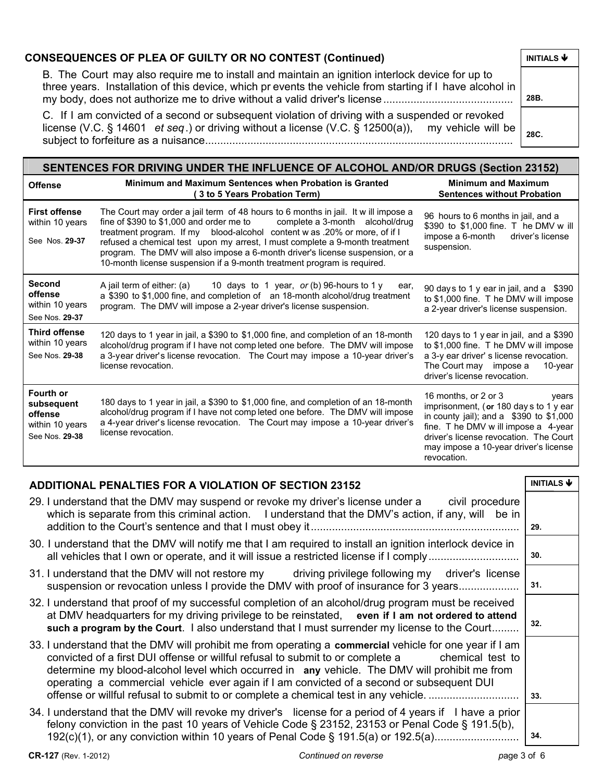| <b>CONSEQUENCES OF PLEA OF GUILTY OR NO CONTEST (Continued)</b>                                                                                                                                                           | INITIALS $\blacklozenge$ |
|---------------------------------------------------------------------------------------------------------------------------------------------------------------------------------------------------------------------------|--------------------------|
| B. The Court may also require me to install and maintain an ignition interlock device for up to<br>three years. Installation of this device, which pr events the vehicle from starting if I have alcohol in               | 28B.                     |
| C. If I am convicted of a second or subsequent violation of driving with a suspended or revoked<br>license (V.C. § 14601 et seq.) or driving without a license (V.C. § 12500(a)), my vehicle will be $\vert_{\text{sec}}$ |                          |

subject to forfeiture as a nuisance...................................................................................................... **28C.** 

| SENTENCES FOR DRIVING UNDER THE INFLUENCE OF ALCOHOL AND/OR DRUGS (Section 23152) |                                                                                                                                                                                                                                                                                                                                                                                                                                                                                       |                                                                                                                                                                                                                                                                |  |  |
|-----------------------------------------------------------------------------------|---------------------------------------------------------------------------------------------------------------------------------------------------------------------------------------------------------------------------------------------------------------------------------------------------------------------------------------------------------------------------------------------------------------------------------------------------------------------------------------|----------------------------------------------------------------------------------------------------------------------------------------------------------------------------------------------------------------------------------------------------------------|--|--|
| <b>Offense</b>                                                                    | Minimum and Maximum Sentences when Probation is Granted<br>(3 to 5 Years Probation Term)                                                                                                                                                                                                                                                                                                                                                                                              | <b>Minimum and Maximum</b><br><b>Sentences without Probation</b>                                                                                                                                                                                               |  |  |
| <b>First offense</b><br>within 10 years<br>See Nos. 29-37                         | The Court may order a jail term of 48 hours to 6 months in jail. It will impose a<br>fine of \$390 to \$1,000 and order me to complete a 3-month alcohol/drug<br>treatment program. If my blood-alcohol content w as .20% or more, of if I<br>refused a chemical test upon my arrest, I must complete a 9-month treatment<br>program. The DMV will also impose a 6-month driver's license suspension, or a<br>10-month license suspension if a 9-month treatment program is required. | 96 hours to 6 months in jail, and a<br>\$390 to \$1,000 fine. T he DMV w ill<br>impose a 6-month<br>driver's license<br>suspension.                                                                                                                            |  |  |
| <b>Second</b><br>offense<br>within 10 years<br>See Nos. 29-37                     | A jail term of either: (a) $10 \text{ days}$ to 1 year, or (b) 96-hours to 1 y<br>ear,<br>a \$390 to \$1,000 fine, and completion of an 18-month alcohol/drug treatment<br>program. The DMV will impose a 2-year driver's license suspension.                                                                                                                                                                                                                                         | 90 days to 1 y ear in jail, and a \$390<br>to \$1,000 fine. T he DMV will impose<br>a 2-year driver's license suspension.                                                                                                                                      |  |  |
| <b>Third offense</b><br>within 10 years<br>See Nos. 29-38                         | 120 days to 1 year in jail, a \$390 to \$1,000 fine, and completion of an 18-month<br>alcohol/drug program if I have not comp leted one before. The DMV will impose<br>a 3-year driver's license revocation. The Court may impose a 10-year driver's<br>license revocation.                                                                                                                                                                                                           | 120 days to 1 year in jail, and a \$390<br>to \$1,000 fine. T he DMV will impose<br>a 3-y ear driver' s license revocation.<br>The Court may impose a<br>10-year<br>driver's license revocation.                                                               |  |  |
| Fourth or<br>subsequent<br>offense<br>within 10 years<br>See Nos. 29-38           | 180 days to 1 year in jail, a \$390 to \$1,000 fine, and completion of an 18-month<br>alcohol/drug program if I have not completed one before. The DMV will impose<br>a 4-year driver's license revocation. The Court may impose a 10-year driver's<br>license revocation.                                                                                                                                                                                                            | 16 months, or 2 or 3<br>vears<br>imprisonment, (or 180 day s to 1 y ear<br>in county jail); and a $$390$ to $$1,000$<br>fine. T he DMV w ill impose a 4-year<br>driver's license revocation. The Court<br>may impose a 10-year driver's license<br>revocation. |  |  |

# **ADDITIONAL PENALTIES FOR A VIOLATION OF SECTION 23152**

| 29. I understand that the DMV may suspend or revoke my driver's license under a<br>civil procedure<br>which is separate from this criminal action. I understand that the DMV's action, if any, will be in                                                                                                                                                                                                                                                                                      | 29. |
|------------------------------------------------------------------------------------------------------------------------------------------------------------------------------------------------------------------------------------------------------------------------------------------------------------------------------------------------------------------------------------------------------------------------------------------------------------------------------------------------|-----|
| 30. I understand that the DMV will notify me that I am required to install an ignition interlock device in<br>all vehicles that I own or operate, and it will issue a restricted license if I comply                                                                                                                                                                                                                                                                                           | 30. |
| 31. I understand that the DMV will not restore my driving privilege following my driver's license<br>suspension or revocation unless I provide the DMV with proof of insurance for 3 years                                                                                                                                                                                                                                                                                                     | 31. |
| 32. I understand that proof of my successful completion of an alcohol/drug program must be received<br>at DMV headquarters for my driving privilege to be reinstated, even if I am not ordered to attend<br>such a program by the Court. I also understand that I must surrender my license to the Court                                                                                                                                                                                       | 32. |
| 33. I understand that the DMV will prohibit me from operating a commercial vehicle for one year if I am<br>convicted of a first DUI offense or willful refusal to submit to or complete a chemical test to<br>determine my blood-alcohol level which occurred in any vehicle. The DMV will prohibit me from<br>operating a commercial vehicle ever again if I am convicted of a second or subsequent DUI<br>offense or willful refusal to submit to or complete a chemical test in any vehicle | 33. |
| 34. I understand that the DMV will revoke my driver's license for a period of 4 years if I have a prior<br>felony conviction in the past 10 years of Vehicle Code § 23152, 23153 or Penal Code § 191.5(b),<br>192(c)(1), or any conviction within 10 years of Penal Code § 191.5(a) or 192.5(a)                                                                                                                                                                                                | 34. |

## **CR-127** (Rev. 1-2012) *Continued on reverse p*age 3 of 6

**INITIALS** Ð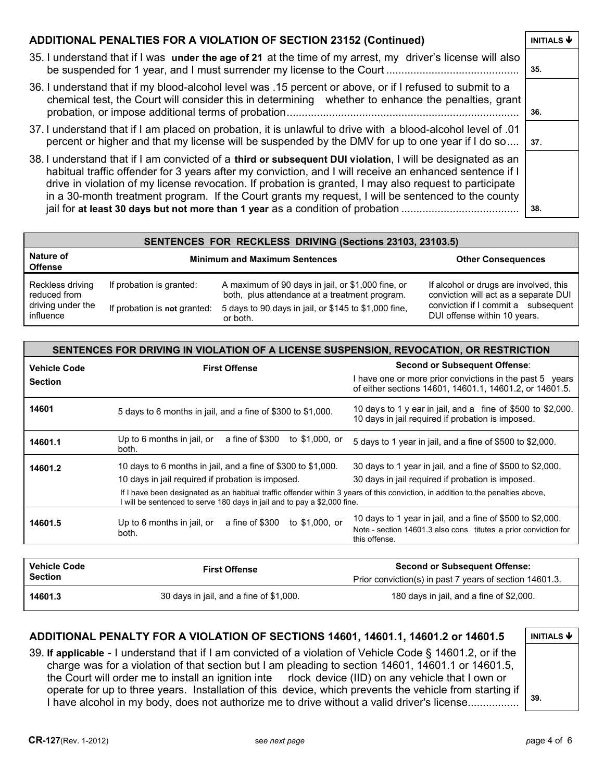#### **ADDITIONAL PENALTIES FOR A VIOLATION OF SECTION 23152 (Continued) | INITIALS**  $\blacklozenge$

- 35. I understand that if I was **under the age of 21** at the time of my arrest, my driver's license will also be suspended for 1 year, and I must surrender my license to the Court ............................................ **35.**
- 36. I understand that if my blood-alcohol level was .15 percent or above, or if I refused to submit to a chemical test, the Court will consider this in determining whether to enhance the penalties, grant probation, or impose additional terms of probation............................................................................. **36.**
- 37. I understand that if I am placed on probation, it is unlawful to drive with a blood-alcohol level of .01 percent or higher and that my license will be suspended by the DMV for up to one year if I do so.... **37**.
- 38. I understand that if I am convicted of a **third or subsequent DUI violation**, I will be designated as an habitual traffic offender for 3 years after my conviction, and I will receive an enhanced sentence if I drive in violation of my license revocation. If probation is granted, I may also request to participate in a 30-month treatment program. If the Court grants my request, I will be sentenced to the county jail for **at least 30 days but not more than 1 year** as a condition of probation ....................................... **38.**

| SENTENCES FOR RECKLESS DRIVING (Sections 23103, 23103.5) |                                      |                                                      |                                        |  |
|----------------------------------------------------------|--------------------------------------|------------------------------------------------------|----------------------------------------|--|
| Nature of<br><b>Offense</b>                              | <b>Minimum and Maximum Sentences</b> |                                                      | <b>Other Consequences</b>              |  |
| Reckless driving                                         | If probation is granted:             | A maximum of 90 days in jail, or \$1,000 fine, or    | If alcohol or drugs are involved, this |  |
| reduced from                                             |                                      | both, plus attendance at a treatment program.        | conviction will act as a separate DUI  |  |
| driving under the                                        | If probation is not granted:         | 5 days to 90 days in jail, or \$145 to \$1,000 fine, | conviction if I commit a subsequent    |  |
| influence                                                |                                      | or both.                                             | DUI offense within 10 years.           |  |

| <b>First Offense</b>                                                                                                                                                                                       | Second or Subsequent Offense:                                                                                                                  |
|------------------------------------------------------------------------------------------------------------------------------------------------------------------------------------------------------------|------------------------------------------------------------------------------------------------------------------------------------------------|
|                                                                                                                                                                                                            | I have one or more prior convictions in the past 5 years<br>of either sections 14601, 14601.1, 14601.2, or 14601.5.                            |
| 5 days to 6 months in jail, and a fine of \$300 to \$1,000.                                                                                                                                                | 10 days to 1 y ear in jail, and a fine of \$500 to \$2,000.<br>10 days in jail required if probation is imposed.                               |
| Up to 6 months in jail, or<br>a fine of \$300<br>to \$1,000, or<br>both.                                                                                                                                   | 5 days to 1 year in jail, and a fine of \$500 to \$2,000.                                                                                      |
| 10 days to 6 months in jail, and a fine of \$300 to \$1,000.                                                                                                                                               | 30 days to 1 year in jail, and a fine of \$500 to \$2,000.                                                                                     |
| 10 days in jail required if probation is imposed.                                                                                                                                                          | 30 days in jail required if probation is imposed.                                                                                              |
| If I have been designated as an habitual traffic offender within 3 years of this conviction, in addition to the penalties above,<br>will be sentenced to serve 180 days in jail and to pay a \$2,000 fine. |                                                                                                                                                |
| to \$1,000, or<br>Up to 6 months in jail, or<br>a fine of \$300<br>both.                                                                                                                                   | 10 days to 1 year in jail, and a fine of \$500 to \$2,000.<br>Note - section 14601.3 also cons titutes a prior conviction for<br>this offense. |
|                                                                                                                                                                                                            |                                                                                                                                                |

| <b>Vehicle Code</b><br><b>Section</b> | <b>First Offense</b>                    | Second or Subsequent Offense:<br>Prior conviction(s) in past 7 years of section 14601.3. |
|---------------------------------------|-----------------------------------------|------------------------------------------------------------------------------------------|
| 14601.3                               | 30 days in jail, and a fine of \$1,000. | 180 days in jail, and a fine of \$2,000.                                                 |

### **ADDITIONAL PENALTY FOR A VIOLATION OF SECTIONS 14601, 14601.1, 14601.2 or 14601.5 | INITIALS ♦**

39. **If applicable** - I understand that if I am convicted of a violation of Vehicle Code § 14601.2, or if the charge was for a violation of that section but I am pleading to section 14601, 14601.1 or 14601.5, the Court will order me to install an ignition inte rlock device (IID) on any vehicle that I own or operate for up to three years. Installation of this device, which prevents the vehicle from starting if I have alcohol in my body, does not authorize me to drive without a valid driver's license................. **39.**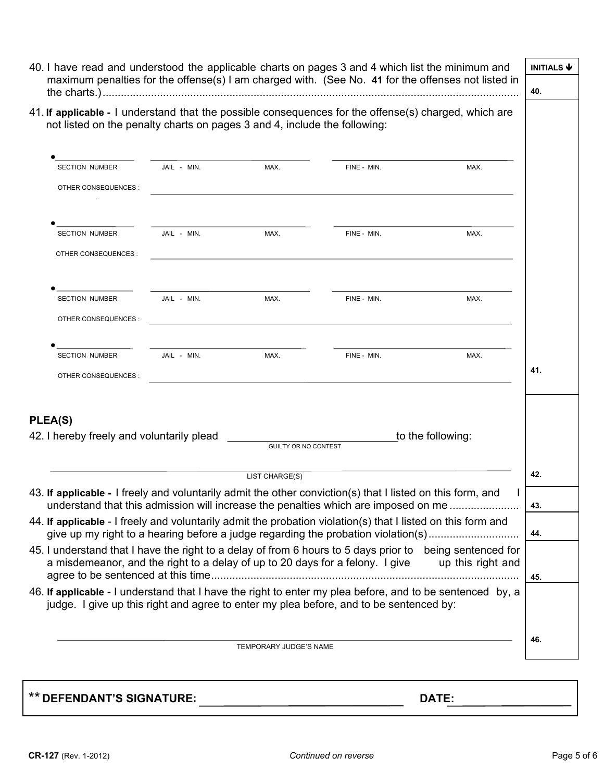|                                                                           |             |                      | 40. I have read and understood the applicable charts on pages 3 and 4 which list the minimum and<br>maximum penalties for the offense(s) I am charged with. (See No. 41 for the offenses not listed in |                   | <b>INITIALS ↓</b> |
|---------------------------------------------------------------------------|-------------|----------------------|--------------------------------------------------------------------------------------------------------------------------------------------------------------------------------------------------------|-------------------|-------------------|
|                                                                           |             |                      |                                                                                                                                                                                                        |                   | 40.               |
| not listed on the penalty charts on pages 3 and 4, include the following: |             |                      | 41. If applicable - I understand that the possible consequences for the offense(s) charged, which are                                                                                                  |                   |                   |
| <b>SECTION NUMBER</b>                                                     | JAIL - MIN. | MAX.                 | FINE - MIN.                                                                                                                                                                                            | MAX.              |                   |
| OTHER CONSEQUENCES :                                                      |             |                      | <u> 1989 - Andrea Santa Andrea Andrea Santa Andrea Andrea Andrea Andrea Andrea Andrea Andrea Andrea Andrea Andre</u>                                                                                   |                   |                   |
| SECTION NUMBER                                                            | JAIL - MIN. | MAX.                 | FINE - MIN.                                                                                                                                                                                            | MAX.              |                   |
| OTHER CONSEQUENCES :                                                      |             |                      |                                                                                                                                                                                                        |                   |                   |
| <b>SECTION NUMBER</b>                                                     | JAIL - MIN. | MAX.                 | FINE - MIN.                                                                                                                                                                                            | MAX.              |                   |
| OTHER CONSEQUENCES :                                                      |             |                      |                                                                                                                                                                                                        |                   |                   |
| <b>SECTION NUMBER</b>                                                     | JAIL - MIN. | MAX.                 | FINE - MIN.                                                                                                                                                                                            | MAX.              |                   |
| OTHER CONSEQUENCES :                                                      |             |                      |                                                                                                                                                                                                        |                   | 41.               |
| <b>PLEA(S)</b>                                                            |             |                      |                                                                                                                                                                                                        |                   |                   |
| 42. I hereby freely and voluntarily plead                                 |             | GUILTY OR NO CONTEST |                                                                                                                                                                                                        | to the following: |                   |
|                                                                           |             | LIST CHARGE(S)       |                                                                                                                                                                                                        |                   | 42.               |
|                                                                           |             |                      | 43. If applicable - I freely and voluntarily admit the other conviction(s) that I listed on this form, and<br>understand that this admission will increase the penalties which are imposed on me       | $\mathbf{I}$      | 43.               |
|                                                                           |             |                      | 44. If applicable - I freely and voluntarily admit the probation violation(s) that I listed on this form and<br>give up my right to a hearing before a judge regarding the probation violation(s)      |                   | 44.               |
|                                                                           |             |                      | 45. I understand that I have the right to a delay of from 6 hours to 5 days prior to being sentenced for<br>a misdemeanor, and the right to a delay of up to 20 days for a felony. I give              | up this right and |                   |
|                                                                           |             |                      | 46. If applicable - I understand that I have the right to enter my plea before, and to be sentenced by, a<br>judge. I give up this right and agree to enter my plea before, and to be sentenced by:    |                   | 45.               |
|                                                                           |             |                      |                                                                                                                                                                                                        |                   |                   |
|                                                                           |             |                      |                                                                                                                                                                                                        |                   | 46.               |

\*\* **DEFENDANT'S SIGNATURE: DATE:**